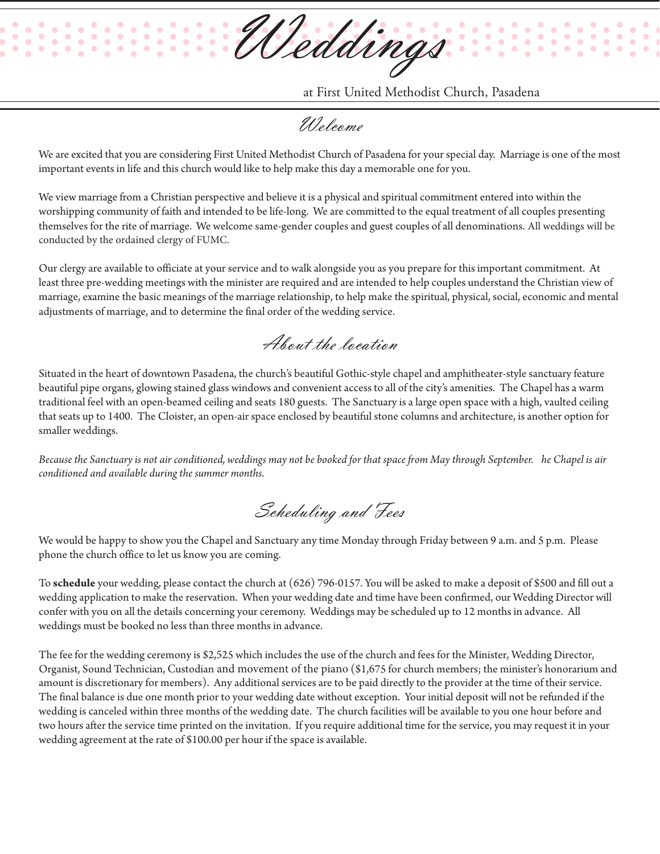Weddings

at First United Methodist Church, Pasadena

Welcome

We are excited that you are considering First United Methodist Church of Pasadena for your special day. Marriage is one of the most important events in life and this church would like to help make this day a memorable one for you.

We view marriage from a Christian perspective and believe it is a physical and spiritual commitment entered into within the worshipping community of faith and intended to be life-long. We are committed to the equal treatment of all couples presenting themselves for the rite of marriage. We welcome same-gender couples and guest couples of all denominations. All weddings will be conducted by the ordained clergy of FUMC.

Our clergy are available to officiate at your service and to walk alongside you as you prepare for this important commitment. At least three pre-wedding meetings with the minister are required and are intended to help couples understand the Christian view of marriage, examine the basic meanings of the marriage relationship, to help make the spiritual, physical, social, economic and mental adjustments of marriage, and to determine the final order of the wedding service.

About the location

Situated in the heart of downtown Pasadena, the church's beautiful Gothic-style chapel and amphitheater-style sanctuary feature beautiful pipe organs, glowing stained glass windows and convenient access to all of the city's amenities. The Chapel has a warm traditional feel with an open-beamed ceiling and seats 180 guests. The Sanctuary is a large open space with a high, vaulted ceiling that seats up to 1400. The Cloister, an open-air space enclosed by beautiful stone columns and architecture, is another option for smaller weddings.

*Because the Sanctuary is not air conditioned, weddings may not be booked for that space from May through September. he Chapel is air conditioned and available during the summer months.*

Scheduling and Fees

We would be happy to show you the Chapel and Sanctuary any time Monday through Friday between 9 a.m. and 5 p.m. Please phone the church office to let us know you are coming.

To **schedule** your wedding, please contact the church at (626) 796-0157. You will be asked to make a deposit of \$500 and fill out a wedding application to make the reservation. When your wedding date and time have been confirmed, our Wedding Director will confer with you on all the details concerning your ceremony. Weddings may be scheduled up to 12 months in advance. All weddings must be booked no less than three months in advance.

The fee for the wedding ceremony is \$2,525 which includes the use of the church and fees for the Minister, Wedding Director, Organist, Sound Technician, Custodian and movement of the piano (\$1,675 for church members; the minister's honorarium and amount is discretionary for members). Any additional services are to be paid directly to the provider at the time of their service. The final balance is due one month prior to your wedding date without exception. Your initial deposit will not be refunded if the wedding is canceled within three months of the wedding date. The church facilities will be available to you one hour before and two hours after the service time printed on the invitation. If you require additional time for the service, you may request it in your wedding agreement at the rate of \$100.00 per hour if the space is available.